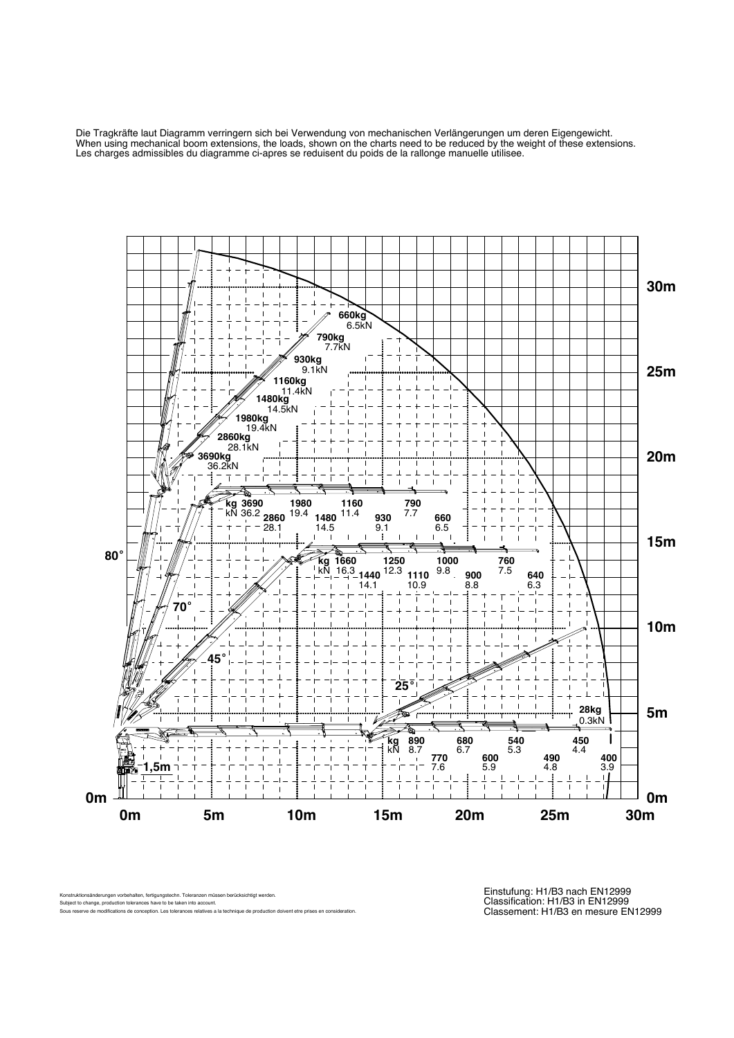Die Tragkräfte laut Diagramm verringern sich bei Verwendung von mechanischen Verlängerungen um deren Eigengewicht. When using mechanical boom extensions, the loads, shown on the charts need to be reduced by the weight of these extensions. Les charges admissibles du diagramme ci-apres se reduisent du poids de la rallonge manuelle utilisee.



Konstruktionsänderungen vorbehalten, fertigungstechn. Toleranzen müssen berücksichtigt werden. Subject to change, production tolerances have to be taken into account.

Sous reserve de modifications de conception. Les tolerances relatives a la technique de production doivent etre prises en co

Einstufung: H1/B3 nach EN12999 Classification: H1/B3 in EN12999 Classement: H1/B3 en mesure EN12999